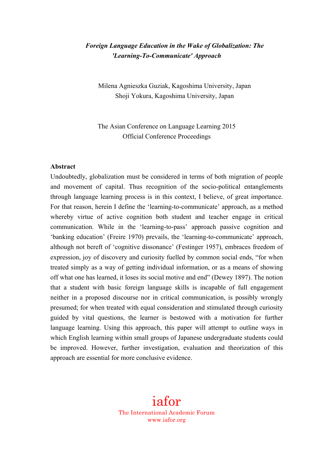# *Foreign Language Education in the Wake of Globalization: The 'Learning-To-Communicate' Approach*

Milena Agnieszka Guziak, Kagoshima University, Japan Shoji Yokura, Kagoshima University, Japan

The Asian Conference on Language Learning 2015 Official Conference Proceedings

#### **Abstract**

Undoubtedly, globalization must be considered in terms of both migration of people and movement of capital. Thus recognition of the socio-political entanglements through language learning process is in this context, I believe, of great importance. For that reason, herein I define the 'learning-to-communicate' approach, as a method whereby virtue of active cognition both student and teacher engage in critical communication. While in the 'learning-to-pass' approach passive cognition and 'banking education' (Freire 1970) prevails, the 'learning-to-communicate' approach, although not bereft of 'cognitive dissonance' (Festinger 1957), embraces freedom of expression, joy of discovery and curiosity fuelled by common social ends, "for when treated simply as a way of getting individual information, or as a means of showing off what one has learned, it loses its social motive and end" (Dewey 1897). The notion that a student with basic foreign language skills is incapable of full engagement neither in a proposed discourse nor in critical communication, is possibly wrongly presumed; for when treated with equal consideration and stimulated through curiosity guided by vital questions, the learner is bestowed with a motivation for further language learning. Using this approach, this paper will attempt to outline ways in which English learning within small groups of Japanese undergraduate students could be improved. However, further investigation, evaluation and theorization of this approach are essential for more conclusive evidence.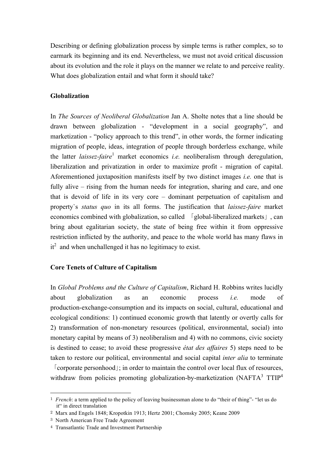Describing or defining globalization process by simple terms is rather complex, so to earmark its beginning and its end. Nevertheless, we must not avoid critical discussion about its evolution and the role it plays on the manner we relate to and perceive reality. What does globalization entail and what form it should take?

## **Globalization**

In *The Sources of Neoliberal Globalization* Jan A. Sholte notes that a line should be drawn between globalization - "development in a social geography", and marketization - "policy approach to this trend", in other words, the former indicating migration of people, ideas, integration of people through borderless exchange, while the latter *laissez-faire* <sup>1</sup> market economics *i.e.* neoliberalism through deregulation, liberalization and privatization in order to maximize profit - migration of capital. Aforementioned juxtaposition manifests itself by two distinct images *i.e.* one that is fully alive – rising from the human needs for integration, sharing and care, and one that is devoid of life in its very core – dominant perpetuation of capitalism and property`s *status quo* in its all forms. The justification that *laissez-faire* market economics combined with globalization, so called 「global-liberalized markets」, can bring about egalitarian society, the state of being free within it from oppressive restriction inflicted by the authority, and peace to the whole world has many flaws in  $it<sup>2</sup>$  and when unchallenged it has no legitimacy to exist.

### **Core Tenets of Culture of Capitalism**

In *Global Problems and the Culture of Capitalism*, Richard H. Robbins writes lucidly about globalization as an economic process *i.e.* mode of production-exchange-consumption and its impacts on social, cultural, educational and ecological conditions: 1) continued economic growth that latently or overtly calls for 2) transformation of non-monetary resources (political, environmental, social) into monetary capital by means of 3) neoliberalism and 4) with no commons, civic society is destined to cease; to avoid these progressive *état des affaires* 5) steps need to be taken to restore our political, environmental and social capital *inter alia* to terminate

「corporate personhood」; in order to maintain the control over local flux of resources, withdraw from policies promoting globalization-by-marketization (NAFTA3 TTIP<sup>4</sup>

 <sup>1</sup> *French*: a term applied to the policy of leaving businessman alone to do "their of thing"- "let us do it" in direct translation

<sup>2</sup> Marx and Engels 1848; Kropotkin 1913; Hertz 2001; Chomsky 2005; Keane 2009

<sup>3</sup> North American Free Trade Agreement

<sup>4</sup> Transatlantic Trade and Investment Partnership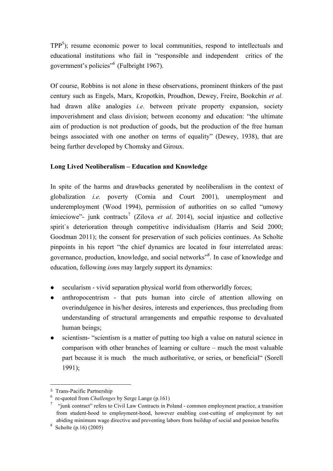$TPP<sup>5</sup>$ ); resume economic power to local communities, respond to intellectuals and educational institutions who fail in "responsible and independent critics of the government's policies"6 (Fulbright 1967).

Of course, Robbins is not alone in these observations, prominent thinkers of the past century such as Engels, Marx, Kropotkin, Proudhon, Dewey, Freire, Bookchin *et al.*  had drawn alike analogies *i.e.* between private property expansion, society impoverishment and class division; between economy and education: "the ultimate aim of production is not production of goods, but the production of the free human beings associated with one another on terms of equality" (Dewey, 1938), that are being further developed by Chomsky and Giroux.

## **Long Lived Neoliberalism – Education and Knowledge**

In spite of the harms and drawbacks generated by neoliberalism in the context of globalization *i.e.* poverty (Cornia and Court 2001), unemployment and underemployment (Wood 1994), permission of authorities on so called "umowy śmieciowe"- junk contracts <sup>7</sup> (Zilova *et al*. 2014), social injustice and collective spirit's deterioration through competitive individualism (Harris and Seid 2000; Goodman 2011); the consent for preservation of such policies continues. As Scholte pinpoints in his report "the chief dynamics are located in four interrelated areas: governance, production, knowledge, and social networks"<sup>8</sup>. In case of knowledge and education, following *ism*s may largely support its dynamics:

- secularism vivid separation physical world from otherworldly forces;
- anthropocentrism that puts human into circle of attention allowing on overindulgence in his/her desires, interests and experiences, thus precluding from understanding of structural arrangements and empathic response to devaluated human beings;
- scientism- "scientism is a matter of putting too high a value on natural science in comparison with other branches of learning or culture – much the most valuable part because it is much the much authoritative, or series, or beneficial" (Sorell 1991);

l

<sup>5</sup> Trans-Pacific Partnership

<sup>6</sup> re-quoted from *Challenges* by Serge Lange (p.161)

<sup>&</sup>lt;sup>7</sup> "junk contract" refers to Civil Law Contracts in Poland - common employment practice, a transition from student-hood to employment-hood, however enabling cost-cutting of employment by not abiding minimum wage directive and preventing labors from buildup of social and pension benefits

 $8$  Scholte (p.16) (2005)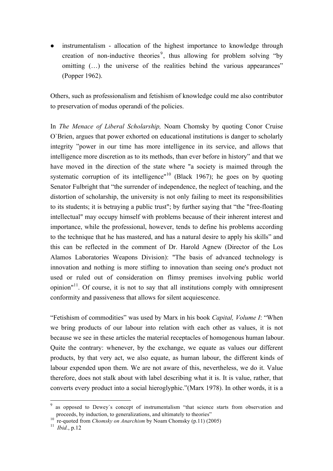! instrumentalism - allocation of the highest importance to knowledge through creation of non-inductive theories<sup>9</sup>, thus allowing for problem solving "by omitting (…) the universe of the realities behind the various appearances" (Popper 1962).

Others, such as professionalism and fetishism of knowledge could me also contributor to preservation of modus operandi of the policies.

In *The Menace of Liberal Scholarship,* Noam Chomsky by quoting Conor Cruise O`Brien, argues that power exhorted on educational institutions is danger to scholarly integrity "power in our time has more intelligence in its service, and allows that intelligence more discretion as to its methods, than ever before in history" and that we have moved in the direction of the state where "a society is maimed through the systematic corruption of its intelligence"<sup>10</sup> (Black 1967); he goes on by quoting Senator Fulbright that "the surrender of independence, the neglect of teaching, and the distortion of scholarship, the university is not only failing to meet its responsibilities to its students; it is betraying a public trust"; by further saying that "the "free-floating intellectual" may occupy himself with problems because of their inherent interest and importance, while the professional, however, tends to define his problems according to the technique that he has mastered, and has a natural desire to apply his skills" and this can be reflected in the comment of Dr. Harold Agnew (Director of the Los Alamos Laboratories Weapons Division): "The basis of advanced technology is innovation and nothing is more stifling to innovation than seeing one's product not used or ruled out of consideration on flimsy premises involving public world opinion $n<sup>11</sup>$ . Of course, it is not to say that all institutions comply with omnipresent conformity and passiveness that allows for silent acquiescence.

"Fetishism of commodities" was used by Marx in his book *Capital, Volume I*: "When we bring products of our labour into relation with each other as values, it is not because we see in these articles the material receptacles of homogenous human labour. Quite the contrary: whenever, by the exchange, we equate as values our different products, by that very act, we also equate, as human labour, the different kinds of labour expended upon them. We are not aware of this, nevertheless, we do it. Value therefore, does not stalk about with label describing what it is. It is value, rather, that converts every product into a social hieroglyphic."(Marx 1978). In other words, it is a

 $\overline{a}$ 

as opposed to Dewey's concept of instrumentalism "that science starts from observation and proceeds, by induction, to generalizations, and ultimately to theories" re-quoted from *Chomsky on Anarchism* by Noam Chomsky (p.11) (2005)

<sup>11</sup> *Ibid.*, p.12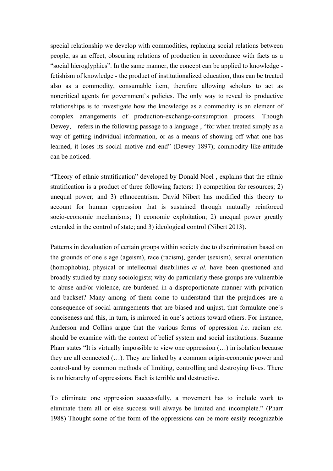special relationship we develop with commodities, replacing social relations between people, as an effect, obscuring relations of production in accordance with facts as a "social hieroglyphics". In the same manner, the concept can be applied to knowledge fetishism of knowledge - the product of institutionalized education, thus can be treated also as a commodity, consumable item, therefore allowing scholars to act as noncritical agents for government`s policies. The only way to reveal its productive relationships is to investigate how the knowledge as a commodity is an element of complex arrangements of production-exchange-consumption process. Though Dewey, refers in the following passage to a language, "for when treated simply as a way of getting individual information, or as a means of showing off what one has learned, it loses its social motive and end" (Dewey 1897); commodity-like-attitude can be noticed.

"Theory of ethnic stratification" developed by Donald Noel , explains that the ethnic stratification is a product of three following factors: 1) competition for resources; 2) unequal power; and 3) ethnocentrism. David Nibert has modified this theory to account for human oppression that is sustained through mutually reinforced socio-economic mechanisms; 1) economic exploitation; 2) unequal power greatly extended in the control of state; and 3) ideological control (Nibert 2013).

Patterns in devaluation of certain groups within society due to discrimination based on the grounds of one`s age (ageism), race (racism), gender (sexism), sexual orientation (homophobia), physical or intellectual disabilities *et al.* have been questioned and broadly studied by many sociologists; why do particularly these groups are vulnerable to abuse and/or violence, are burdened in a disproportionate manner with privation and backset? Many among of them come to understand that the prejudices are a consequence of social arrangements that are biased and unjust, that formulate one`s conciseness and this, in turn, is mirrored in one`s actions toward others. For instance, Anderson and Collins argue that the various forms of oppression *i.e*. racism *etc.*  should be examine with the context of belief system and social institutions. Suzanne Pharr states "It is virtually impossible to view one oppression (…) in isolation because they are all connected (…). They are linked by a common origin-economic power and control-and by common methods of limiting, controlling and destroying lives. There is no hierarchy of oppressions. Each is terrible and destructive.

To eliminate one oppression successfully, a movement has to include work to eliminate them all or else success will always be limited and incomplete." (Pharr 1988) Thought some of the form of the oppressions can be more easily recognizable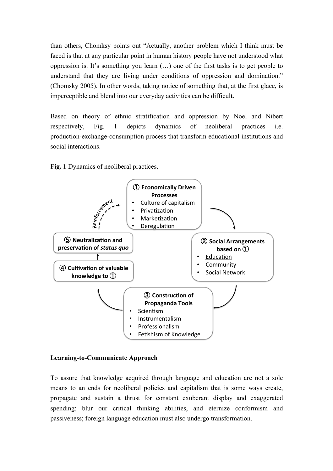than others, Chomksy points out "Actually, another problem which I think must be faced is that at any particular point in human history people have not understood what oppression is. It's something you learn (…) one of the first tasks is to get people to understand that they are living under conditions of oppression and domination." (Chomsky 2005). In other words, taking notice of something that, at the first glace, is imperceptible and blend into our everyday activities can be difficult.

Based on theory of ethnic stratification and oppression by Noel and Nibert respectively, Fig. 1 depicts dynamics of neoliberal practices i.e. production-exchange-consumption process that transform educational institutions and social interactions.

**Fig. 1** Dynamics of neoliberal practices.



#### **Learning-to-Communicate Approach**

To assure that knowledge acquired through language and education are not a sole means to an ends for neoliberal policies and capitalism that is some ways create, propagate and sustain a thrust for constant exuberant display and exaggerated spending; blur our critical thinking abilities, and eternize conformism and passiveness; foreign language education must also undergo transformation.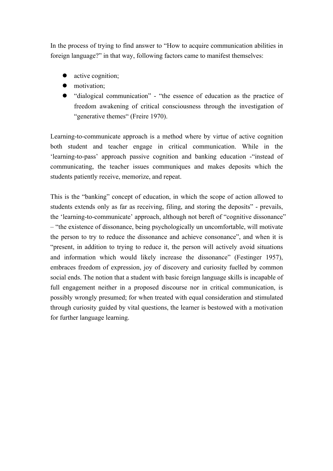In the process of trying to find answer to "How to acquire communication abilities in foreign language?" in that way, following factors came to manifest themselves:

- active cognition;
- $\bullet$  motivation:
- "dialogical communication" "the essence of education as the practice of freedom awakening of critical consciousness through the investigation of "generative themes" (Freire 1970).

Learning-to-communicate approach is a method where by virtue of active cognition both student and teacher engage in critical communication. While in the 'learning-to-pass' approach passive cognition and banking education -"instead of communicating, the teacher issues communiques and makes deposits which the students patiently receive, memorize, and repeat.

This is the "banking" concept of education, in which the scope of action allowed to students extends only as far as receiving, filing, and storing the deposits" - prevails, the 'learning-to-communicate' approach, although not bereft of "cognitive dissonance" – "the existence of dissonance, being psychologically un uncomfortable, will motivate the person to try to reduce the dissonance and achieve consonance", and when it is "present, in addition to trying to reduce it, the person will actively avoid situations and information which would likely increase the dissonance" (Festinger 1957), embraces freedom of expression, joy of discovery and curiosity fuelled by common social ends. The notion that a student with basic foreign language skills is incapable of full engagement neither in a proposed discourse nor in critical communication, is possibly wrongly presumed; for when treated with equal consideration and stimulated through curiosity guided by vital questions, the learner is bestowed with a motivation for further language learning.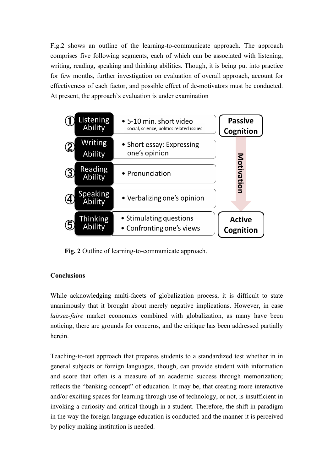Fig.2 shows an outline of the learning-to-communicate approach. The approach comprises five following segments, each of which can be associated with listening, writing, reading, speaking and thinking abilities. Though, it is being put into practice for few months, further investigation on evaluation of overall approach, account for effectiveness of each factor, and possible effect of de-motivators must be conducted. At present, the approach`s evaluation is under examination



**Fig. 2** Outline of learning-to-communicate approach.

# **Conclusions**

While acknowledging multi-facets of globalization process, it is difficult to state unanimously that it brought about merely negative implications. However, in case *laissez-faire* market economics combined with globalization, as many have been noticing, there are grounds for concerns, and the critique has been addressed partially herein.

Teaching-to-test approach that prepares students to a standardized test whether in in general subjects or foreign languages, though, can provide student with information and score that often is a measure of an academic success through memorization; reflects the "banking concept" of education. It may be, that creating more interactive and/or exciting spaces for learning through use of technology, or not, is insufficient in invoking a curiosity and critical though in a student. Therefore, the shift in paradigm in the way the foreign language education is conducted and the manner it is perceived by policy making institution is needed.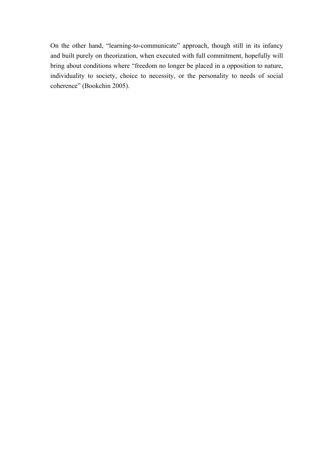On the other hand, "learning-to-communicate" approach, though still in its infancy and built purely on theorization, when executed with full commitment, hopefully will bring about conditions where "freedom no longer be placed in a opposition to nature, individuality to society, choice to necessity, or the personality to needs of social coherence" (Bookchin 2005).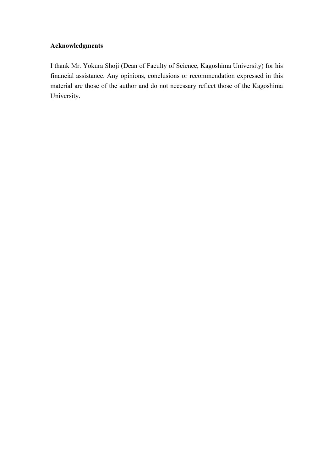## **Acknowledgments**

I thank Mr. Yokura Shoji (Dean of Faculty of Science, Kagoshima University) for his financial assistance. Any opinions, conclusions or recommendation expressed in this material are those of the author and do not necessary reflect those of the Kagoshima University.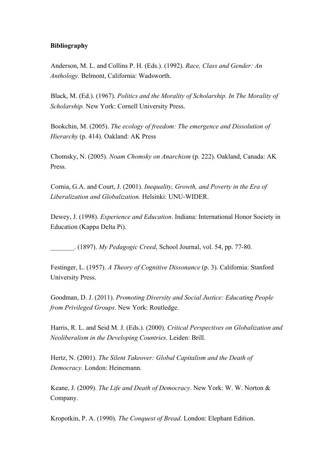#### **Bibliography**

Anderson, M. L. and Collins P. H. (Eds.). (1992). *Race, Class and Gender: An Anthology.* Belmont, California: Wadsworth.

Black, M. (Ed.). (1967). *Politics and the Morality of Scholarship. In The Morality of Scholarship.* New York: Cornell University Press.

Bookchin, M. (2005). *The ecology of freedom: The emergence and Dissolution of Hierarchy* (p. 414). Oakland: AK Press

Chomsky, N. (2005). *Noam Chomsky on Anarchism* (p. 222). Oakland, Canada: AK Press.

Cornia, G.A. and Court, J. (2001). *Inequality, Growth, and Poverty in the Era of Liberalization and Globalization.* Helsinki: UNU-WIDER.

Dewey, J. (1998). *Experience and Education*. Indiana: International Honor Society in Education (Kappa Delta Pi).

\_\_\_\_\_\_\_. (1897). *My Pedagogic Creed*, School Journal, vol. 54, pp. 77-80.

Festinger, L. (1957). *A Theory of Cognitive Dissonance* (p. 3). California: Stanford University Press.

Goodman, D. J. (2011). *Promoting Diversity and Social Justice: Educating People from Privileged Groups*. New York: Routledge.

Harris, R. L. and Seid M. J. (Eds.). (2000). *Critical Perspectives on Globalization and Neoliberalism in the Developing Countries*. Leiden: Brill.

Hertz, N. (2001). *The Silent Takeover: Global Capitalism and the Death of Democracy.* London: Heinemann.

Keane, J. (2009). *The Life and Death of Democracy*. New York: W. W. Norton & Company.

Kropotkin, P. A. (1990). *The Conquest of Bread*. London: Elephant Edition.